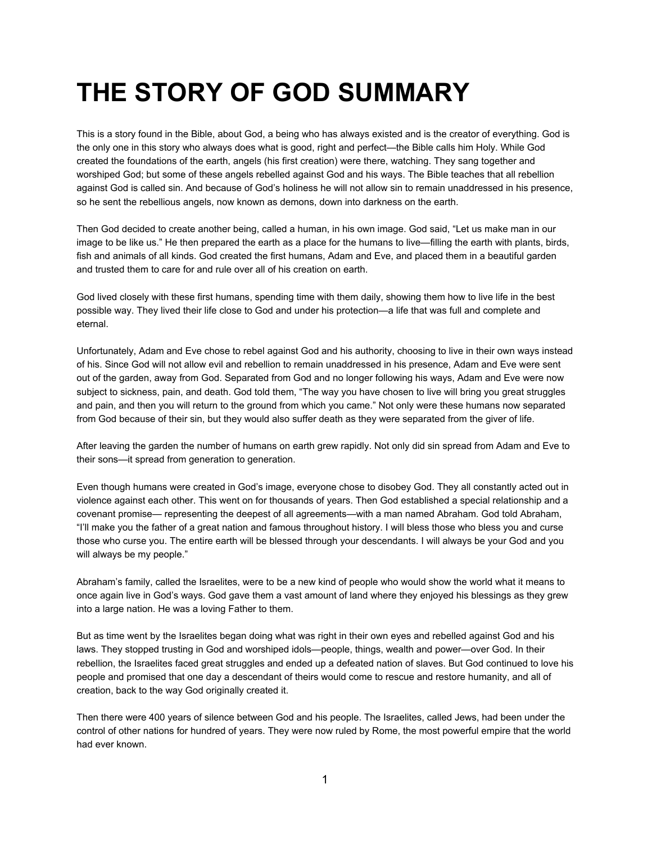## **THE STORY OF GOD SUMMARY**

This is a story found in the Bible, about God, a being who has always existed and is the creator of everything. God is the only one in this story who always does what is good, right and perfect—the Bible calls him Holy. While God created the foundations of the earth, angels (his first creation) were there, watching. They sang together and worshiped God; but some of these angels rebelled against God and his ways. The Bible teaches that all rebellion against God is called sin. And because of God's holiness he will not allow sin to remain unaddressed in his presence, so he sent the rebellious angels, now known as demons, down into darkness on the earth.

Then God decided to create another being, called a human, in his own image. God said, "Let us make man in our image to be like us." He then prepared the earth as a place for the humans to live—filling the earth with plants, birds, fish and animals of all kinds. God created the first humans, Adam and Eve, and placed them in a beautiful garden and trusted them to care for and rule over all of his creation on earth.

God lived closely with these first humans, spending time with them daily, showing them how to live life in the best possible way. They lived their life close to God and under his protection—a life that was full and complete and eternal.

Unfortunately, Adam and Eve chose to rebel against God and his authority, choosing to live in their own ways instead of his. Since God will not allow evil and rebellion to remain unaddressed in his presence, Adam and Eve were sent out of the garden, away from God. Separated from God and no longer following his ways, Adam and Eve were now subject to sickness, pain, and death. God told them, "The way you have chosen to live will bring you great struggles and pain, and then you will return to the ground from which you came." Not only were these humans now separated from God because of their sin, but they would also suffer death as they were separated from the giver of life.

After leaving the garden the number of humans on earth grew rapidly. Not only did sin spread from Adam and Eve to their sons—it spread from generation to generation.

Even though humans were created in God's image, everyone chose to disobey God. They all constantly acted out in violence against each other. This went on for thousands of years. Then God established a special relationship and a covenant promise— representing the deepest of all agreements—with a man named Abraham. God told Abraham, "I'll make you the father of a great nation and famous throughout history. I will bless those who bless you and curse those who curse you. The entire earth will be blessed through your descendants. I will always be your God and you will always be my people."

Abraham's family, called the Israelites, were to be a new kind of people who would show the world what it means to once again live in God's ways. God gave them a vast amount of land where they enjoyed his blessings as they grew into a large nation. He was a loving Father to them.

But as time went by the Israelites began doing what was right in their own eyes and rebelled against God and his laws. They stopped trusting in God and worshiped idols—people, things, wealth and power—over God. In their rebellion, the Israelites faced great struggles and ended up a defeated nation of slaves. But God continued to love his people and promised that one day a descendant of theirs would come to rescue and restore humanity, and all of creation, back to the way God originally created it.

Then there were 400 years of silence between God and his people. The Israelites, called Jews, had been under the control of other nations for hundred of years. They were now ruled by Rome, the most powerful empire that the world had ever known.